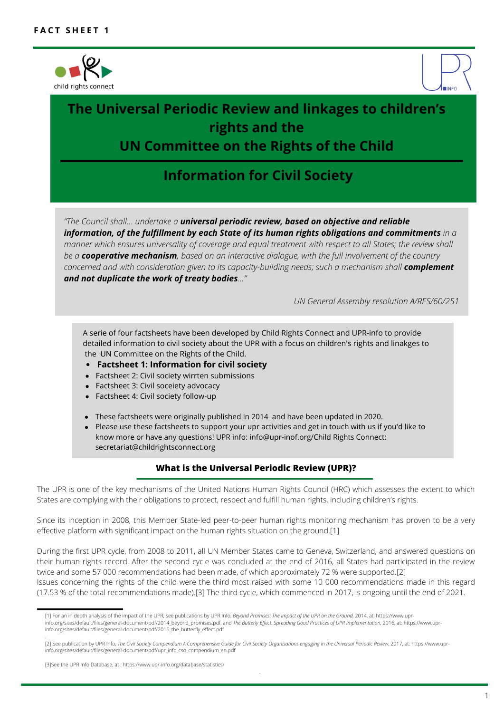



# **The Universal Periodic Review and linkages to children's rights and the**

## **UN Committee on the Rights of the Child**

## **Information for Civil Society**

*"The Council shall… undertake a universal periodic review, based on objective and reliable information, of the fulfillment by each State of its human rights obligations and commitments in a* manner which ensures universality of coverage and equal treatment with respect to all States; the review shall *be a cooperative mechanism, based on an interactive dialogue, with the full involvement of the country concerned and with consideration given to its capacity-building needs; such a mechanism shall complement and not duplicate the work of treaty bodies…"*

*UN General Assembly resolution A/RES/60/251*

A serie of four factsheets have been developed by Child Rights Connect and UPR-info to provide detailed information to civil society about the UPR with a focus on children's rights and linakges to the UN Committee on the Rights of the Child.

- **Factsheet 1: Information for civil society**
- Factsheet 2: Civil society wirrten submissions
- Factsheet 3: Civil soceiety advocacy
- Factsheet 4: Civil society follow-up
- These factsheets were originally published in 2014 and have been updated in 2020.
- Please use these factsheets to support your upr activities and get in touch with us if you'd like to know more or have any questions! UPR info: info@upr-inof.org/Child Rights Connect: secretariat@childrightsconnect.org

#### **What is the Universal Periodic Review (UPR)?**

The UPR is one of the key mechanisms of the United Nations Human Rights Council (HRC) which assesses the extent to which States are complying with their obligations to protect, respect and fulfill human rights, including children's rights.

Since its inception in 2008, this Member State-led peer-to-peer human rights monitoring mechanism has proven to be a very effective platform with significant impact on the human rights situation on the ground.[1]

During the first UPR cycle, from 2008 to 2011, all UN Member States came to Geneva, Switzerland, and answered questions on their human rights record. After the second cycle was concluded at the end of 2016, all States had participated in the review twice and some 57 000 recommendations had been made, of which approximately 72 % were supported.[2] Issues concerning the rights of the child were the third most raised with some 10 000 recommendations made in this regard (17.53 % of the total recommendations made).[3] The third cycle, which commenced in 2017, is ongoing until the end of 2021.

.

.

<sup>[1]</sup> For an in depth analysis of the impact of the UPR, see publications by UPR Info, *Beyond Promises: The Impact of the UPR on the Ground,* 2014, at: https://www.uprinfo.org/sites/default/files/general-document/pdf/2014\_beyond\_promises.pdf, and *The Butterly Effect: Spreading Good Practices of UPR Implementation,* 2016, at: https://www.uprinfo.org/sites/default/files/general-document/pdf/2016\_the\_butterfly\_effect.pdf

<sup>[2]</sup> See publication by UPR Info, *The Civil Society Compendium A Comprehensive Guide for Civil Society Organisations engaging in the Universal Periodic Review*, 2017, at: https://www.uprinfo.org/sites/default/files/general-document/pdf/upr\_info\_cso\_compendium\_en.pdf

<sup>[3]</sup>See the UPR Info Database, at : https://www.upr-info.org/database/statistics/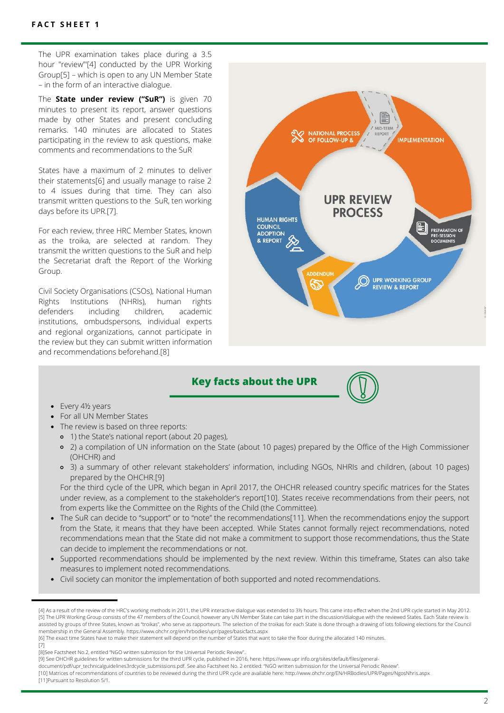The UPR examination takes place during a 3.5 hour "review'"[4] conducted by the UPR Working Group[5] – which is open to any UN Member State – in the form of an interactive dialogue.

The **State under review ("SuR")** is given 70 minutes to present its report, answer questions made by other States and present concluding remarks. 140 minutes are allocated to States participating in the review to ask questions, make comments and recommendations to the SuR

States have a maximum of 2 minutes to deliver their statements[6] and usually manage to raise 2 to 4 issues during that time. They can also transmit written questions to the SuR, ten working days before its UPR.[7].

For each review, three HRC Member States, known as the troika, are selected at random. They transmit the written questions to the SuR and help the Secretariat draft the Report of the Working Group.

Civil Society Organisations (CSOs), National Human Rights Institutions (NHRIs), human rights defenders including children, academic institutions, ombudspersons, individual experts and regional organizations, cannot participate in the review but they can submit written information and recommendations beforehand.[8]



### **Key facts about the UPR**



- Every 4½ years
- For all UN Member States
- The review is based on three reports:
	- 1) the State's national report (about 20 pages),
	- 2) a compilation of UN information on the State (about 10 pages) prepared by the Office of the High Commissioner (OHCHR) and
	- 3) a summary of other relevant stakeholders' information, including NGOs, NHRIs and children, (about 10 pages) prepared by the OHCHR.[9]

For the third cycle of the UPR, which began in April 2017, the OHCHR released country specific matrices for the States under review, as a complement to the stakeholder's report[10]. States receive recommendations from their peers, not from experts like the Committee on the Rights of the Child (the Committee).

- The SuR can decide to "support" or to "note" the recommendations[11]. When the recommendations enjoy the support from the State, it means that they have been accepted. While States cannot formally reject recommendations, noted recommendations mean that the State did not make a commitment to support those recommendations, thus the State can decide to implement the recommendations or not.
- Supported recommendations should be implemented by the next review. Within this timeframe, States can also take measures to implement noted recommendations.
- Civil society can monitor the implementation of both supported and noted recommendations.

[7]

<sup>[4]</sup> As a result of the review of the HRC's working methods in 2011, the UPR interactive dialogue was extended to 3½ hours. This came into effect when the 2nd UPR cycle started in May 2012. [5] The UPR Working Group consists of the 47 members of the Council; however any UN Member State can take part in the discussion/dialogue with the reviewed States. Each State review is assisted by groups of three States, known as "troikas", who serve as rapporteurs. The selection of the troikas for each State is done through a drawing of lots following elections for the Council membership in the General Assembly. https://www.ohchr.org/en/hrbodies/upr/pages/basicfacts.aspx

<sup>[6]</sup> The exact time States have to make their statement will depend on the number of States that want to take the floor during the allocated 140 minutes.

<sup>[8]</sup>See Factsheet No.2, entitled "NGO written submission for the Universal Periodic Review"..

<sup>[9]</sup> See OHCHR guidelines for written submissions for the third UPR cycle, published in 2016, here: https://www.upr info.org/sites/default/files/general-

document/pdf/upr\_technicalguidelines3rdcycle\_submissions.pdf. See also Factsheet No. 2 entitled: "NGO written submission for the Universal Periodic Review".

<sup>[10]</sup> Matrices of recommendations of countries to be reviewed during the third UPR cycle are available here: http://www.ohchr.org/EN/HRBodies/UPR/Pages/NgosNhris.aspx [11]Pursuant to Resolution 5/1.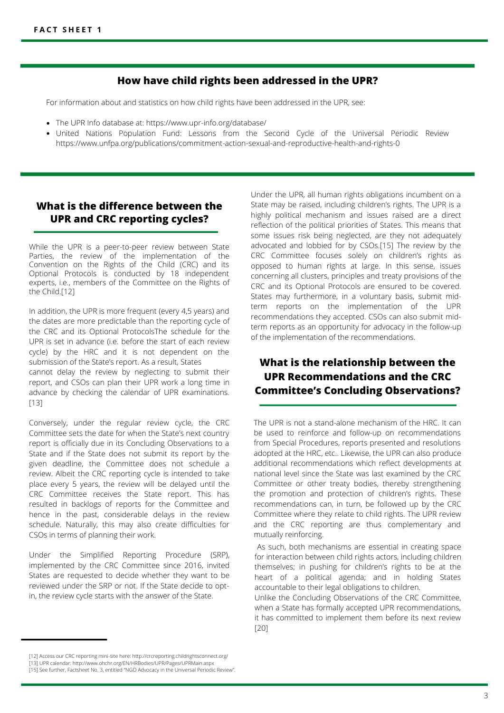#### **How have child rights been addressed in the UPR?**

For information about and statistics on how child rights have been addressed in the UPR, see:

- The UPR Info database at: https://www.upr-info.org/database/
- United Nations Population Fund: Lessons from the Second Cycle of the Universal Periodic Review https://www.unfpa.org/publications/commitment-action-sexual-and-reproductive-health-and-rights-0

### **What is the difference between the UPR and CRC reporting cycles?**

While the UPR is a peer-to-peer review between State Parties, the review of the implementation of the Convention on the Rights of the Child (CRC) and its Optional Protocols is conducted by 18 independent experts, i.e., members of the Committee on the Rights of the Child.[12]

In addition, the UPR is more frequent (every 4,5 years) and the dates are more predictable than the reporting cycle of the CRC and its Optional ProtocolsThe schedule for the UPR is set in advance (i.e. before the start of each review cycle) by the HRC and it is not dependent on the submission of the State's report. As a result, States

cannot delay the review by neglecting to submit their report, and CSOs can plan their UPR work a long time in advance by checking the calendar of UPR examinations. [13]

Conversely, under the regular review cycle, the CRC Committee sets the date for when the State's next country report is officially due in its Concluding Observations to a State and if the State does not submit its report by the given deadline, the Committee does not schedule a review. Albeit the CRC reporting cycle is intended to take place every 5 years, the review will be delayed until the CRC Committee receives the State report. This has resulted in backlogs of reports for the Committee and hence in the past, considerable delays in the review schedule. Naturally, this may also create difficulties for CSOs in terms of planning their work.

Under the Simplified Reporting Procedure (SRP), implemented by the CRC Committee since 2016, invited States are requested to decide whether they want to be reviewed under the SRP or not. If the State decide to optin, the review cycle starts with the answer of the State.

Under the UPR, all human rights obligations incumbent on a State may be raised, including children's rights. The UPR is a highly political mechanism and issues raised are a direct reflection of the political priorities of States. This means that some issues risk being neglected, are they not adequately advocated and lobbied for by CSOs.[15] The review by the CRC Committee focuses solely on children's rights as opposed to human rights at large. In this sense, issues concerning all clusters, principles and treaty provisions of the CRC and its Optional Protocols are ensured to be covered. States may furthermore, in a voluntary basis, submit midterm reports on the implementation of the UPR recommendations they accepted. CSOs can also submit midterm reports as an opportunity for advocacy in the follow-up of the implementation of the recommendations.

## **What is the relationship between the UPR Recommendations and the CRC Committee's Concluding Observations?**

The UPR is not a stand-alone mechanism of the HRC. It can be used to reinforce and follow-up on recommendations from Special Procedures, reports presented and resolutions adopted at the HRC, etc.. Likewise, the UPR can also produce additional recommendations which reflect developments at national level since the State was last examined by the CRC Committee or other treaty bodies, thereby strengthening the promotion and protection of children's rights. These recommendations can, in turn, be followed up by the CRC Committee where they relate to child rights. The UPR review and the CRC reporting are thus complementary and mutually reinforcing.

As such, both mechanisms are essential in creating space for interaction between child rights actors, including children themselves; in pushing for children's rights to be at the heart of a political agenda; and in holding States accountable to their legal obligations to children.

Unlike the Concluding Observations of the CRC Committee, when a State has formally accepted UPR recommendations, it has committed to implement them before its next review [20]

<sup>[12]</sup> Access our CRC reporting mini-site here: http://crcreporting.childrightsconnect.org/ [13] UPR calendar: http://www.ohchr.org/EN/HRBodies/UPR/Pages/UPRMain.aspx

<sup>[15]</sup> See further, Factsheet No. 3, entitled "NGO Advocacy in the Universal Periodic Review".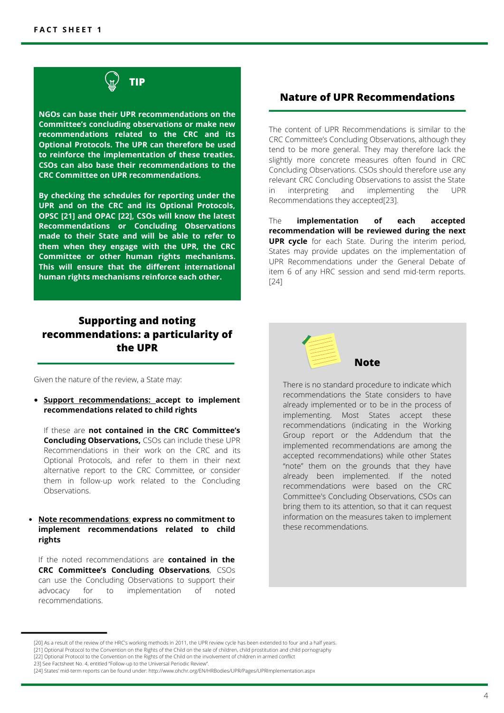

**NGOs can base their UPR recommendations on the Committee's concluding observations or make new recommendations related to the CRC and its Optional Protocols. The UPR can therefore be used to reinforce the implementation of these treaties. CSOs can also base their recommendations to the CRC Committee on UPR recommendations.**

**By checking the schedules for reporting under the UPR and on the CRC and its Optional Protocols, OPSC [21] and OPAC [22], CSOs will know the latest Recommendations or Concluding Observations made to their State and will be able to refer to them when they engage with the UPR, the CRC Committee or other human rights mechanisms. This will ensure that the different international human rights mechanisms reinforce each other.**

## **Supporting and noting recommendations: a particularity of the UPR**

Given the nature of the review, a State may:

**Support recommendations: accept to implement recommendations related to child rights**

If these are **not contained in the CRC Committee's Concluding Observations,** CSOs can include these UPR Recommendations in their work on the CRC and its Optional Protocols, and refer to them in their next alternative report to the CRC Committee, or consider them in follow-up work related to the Concluding **Observations** 

#### **Note recommendations**: **express no commitment to implement recommendations related to child rights**

If the noted recommendations are **contained in the CRC Committee's Concluding Observations**, CSOs can use the Concluding Observations to support their<br>advocacy for to implementation of noted for to implementation of noted recommendations.

#### **Nature of UPR Recommendations**

The content of UPR Recommendations is similar to the CRC Committee's Concluding Observations, although they tend to be more general. They may therefore lack the slightly more concrete measures often found in CRC Concluding Observations. CSOs should therefore use any relevant CRC Concluding Observations to assist the State in interpreting and implementing the UPR Recommendations they accepted[23].

The **implementation of each accepted recommendation will be reviewed during the next UPR cycle** for each State. During the interim period, States may provide updates on the implementation of UPR Recommendations under the General Debate of item 6 of any HRC session and send mid-term reports. [24]



There is no standard procedure to indicate which recommendations the State considers to have already implemented or to be in the process of implementing. Most States accept these recommendations (indicating in the Working Group report or the Addendum that the implemented recommendations are among the accepted recommendations) while other States "note" them on the grounds that they have already been implemented. If the noted recommendations were based on the CRC Committee's Concluding Observations, CSOs can bring them to its attention, so that it can request information on the measures taken to implement these recommendations.

<sup>[20]</sup> As a result of the review of the HRC's working methods in 2011, the UPR review cycle has been extended to four and a half years. [21] Optional Protocol to the Convention on the Rights of the Child on the sale of children, child prostitution and child pornography [22] Optional Protocol to the Convention on the Rights of the Child on the involvement of children in armed conflict

<sup>23]</sup> See Factsheet No. 4, entitled "Follow-up to the Universal Periodic Review"

<sup>[24]</sup> States' mid-term reports can be found under: http://www.ohchr.org/EN/HRBodies/UPR/Pages/UPRImplementation.aspx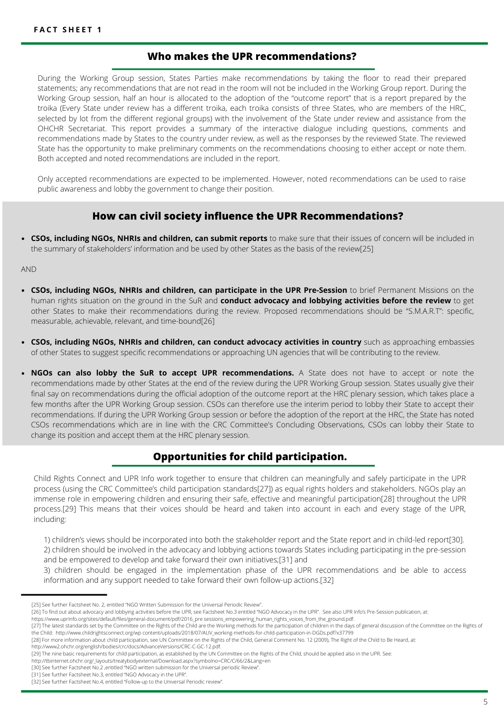#### **Who makes the UPR recommendations?**

During the Working Group session, States Parties make recommendations by taking the floor to read their prepared statements; any recommendations that are not read in the room will not be included in the Working Group report. During the Working Group session, half an hour is allocated to the adoption of the "outcome report" that is a report prepared by the troika (Every State under review has a different troika, each troika consists of three States, who are members of the HRC, selected by lot from the different regional groups) with the involvement of the State under review and assistance from the OHCHR Secretariat. This report provides a summary of the interactive dialogue including questions, comments and recommendations made by States to the country under review, as well as the responses by the reviewed State. The reviewed State has the opportunity to make preliminary comments on the recommendations choosing to either accept or note them. Both accepted and noted recommendations are included in the report.

Only accepted recommendations are expected to be implemented. However, noted recommendations can be used to raise public awareness and lobby the government to change their position.

### **How can civil society influence the UPR Recommendations?**

**CSOs, including NGOs, NHRIs and children, can submit reports** to make sure that their issues of concern will be included in the summary of stakeholders' information and be used by other States as the basis of the review[25]

AND

- **CSOs, including NGOs, NHRIs and children, can participate in the UPR Pre-Session** to brief Permanent Missions on the human rights situation on the ground in the SuR and **conduct advocacy and lobbying activities before the review** to get other States to make their recommendations during the review. Proposed recommendations should be "S.M.A.R.T": specific, measurable, achievable, relevant, and time-bound[26]
- **CSOs, including NGOs, NHRIs and children, can conduct advocacy activities in country** such as approaching embassies of other States to suggest specific recommendations or approaching UN agencies that will be contributing to the review.
- **NGOs can also lobby the SuR to accept UPR recommendations.** A State does not have to accept or note the recommendations made by other States at the end of the review during the UPR Working Group session. States usually give their final say on recommendations during the official adoption of the outcome report at the HRC plenary session, which takes place a few months after the UPR Working Group session. CSOs can therefore use the interim period to lobby their State to accept their recommendations. If during the UPR Working Group session or before the adoption of the report at the HRC, the State has noted CSOs recommendations which are in line with the CRC Committee's Concluding Observations, CSOs can lobby their State to change its position and accept them at the HRC plenary session.

## **Opportunities for child participation.**

Child Rights Connect and UPR Info work together to ensure that children can meaningfully and safely participate in the UPR process (using the CRC Committee's child participation standards[27]) as equal rights holders and stakeholders. NGOs play an immense role in empowering children and ensuring their safe, effective and meaningful participation[28] throughout the UPR process.[29] This means that their voices should be heard and taken into account in each and every stage of the UPR, including:

- 1) children's views should be incorporated into both the stakeholder report and the State report and in child-led report[30].
- 2) children should be involved in the advocacy and lobbying actions towards States including participating in the pre-session and be empowered to develop and take forward their own initiatives;[31] and

3) children should be engaged in the implementation phase of the UPR recommendations and be able to access information and any support needed to take forward their own follow-up actions.[32]

http://www2.ohchr.org/english/bodies/crc/docs/AdvanceVersions/CRC-C-GC-12.pdf.

<sup>[25]</sup> See further Factsheet No. 2, entitled "NGO Written Submission for the Universal Periodic Review".

<sup>[26]</sup> To find out about advocacy and lobbying activities before the UPR, see Factsheet No.3 entitled "NGO Advocacy in the UPR". See also UPR Info's Pre-Session publication, at:

https://www.uprInfo.org/sites/default/files/general-document/pdf/2016\_pre sessions\_empowering\_human\_rights\_voices\_from\_the\_ground.pdf.

<sup>[27]</sup> The latest standards set by the Committee on the Rights of the Child are the Working methods for the participation of children in the days of general discussion of the Committee on the Rights of the Child: http://www.childrightsconnect.org/wp content/uploads/2018/07/AUV\_working-methods-for-child-participation-in-DGDs.pdf?x37799

<sup>[28]</sup> For more information about child participation, see UN Committee on the Rights of the Child, General Comment No. 12 (2009), The Right of the Child to Be Heard, at:

<sup>[29]</sup> The nine basic requirements for child participation, as established by the UN Committee on the Rights of the Child, should be applied also in the UPR. See:

http://tbinternet.ohchr.org/\_layouts/treatybodyexternal/Download.aspx?symbolno=CRC/C/66/2&Lang=en

<sup>[30]</sup> See further Factsheet No.2 ,entitled "NGO written submission for the Universal periodic Review"

<sup>[31]</sup> See further Factsheet No.3, entitled "NGO Advocacy in the UPR".

<sup>[32]</sup> See further Factsheet No.4, entitled "Follow-up to the Universal Periodic review"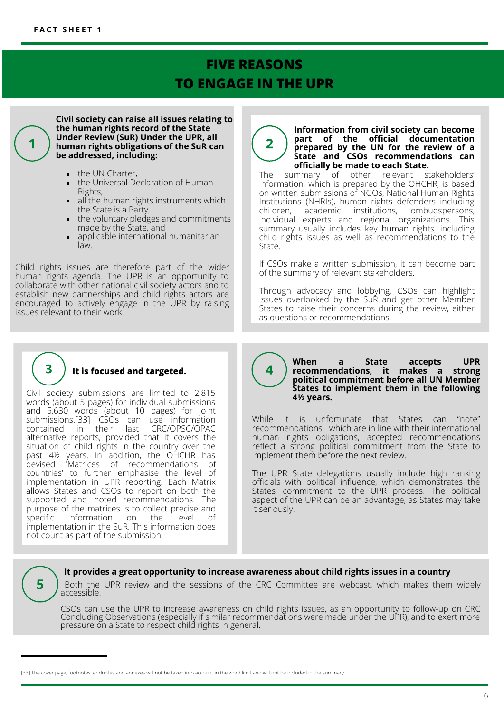## **FIVE REASONS TO ENGAGE IN THE UPR**

**Civil society can raise all issues relating to the human rights record of the State Under Review (SuR) Under the UPR, all human rights obligations of the SuR can be addressed, including:**

- the UN Charter,  $\blacksquare$
- the Universal Declaration of Human  $\blacksquare$ Rights,
- all the human rights instruments which  $\blacksquare$ the State is a Party,
- $\blacksquare$ the voluntary pledges and commitments made by the State, and
- applicable international humanitarian law.

Child rights issues are therefore part of the wider human rights agenda. The UPR is an opportunity to collaborate with other national civil society actors and to establish new partnerships and child rights actors are encouraged to actively engage in the UPR by raising issues relevant to their work.



**Information from civil society can become**

information, which is prepared by the OHCHR, is based on written submissions of NGOs, National Human Rights Institutions (NHRIs), human rights defenders including ombudspersons, individual experts and regional organizations. This summary usually includes key human rights, including child rights issues as well as recommendations to the State.

If CSOs make a written submission, it can become part of the summary of relevant stakeholders.

Through advocacy and lobbying, CSOs can highlight issues overlooked by the SuR and get other Member States to raise their concerns during the review, either as questions or recommendations.



5

### **It is focused and targeted.**

Civil society submissions are limited to 2,815 words (about 5 pages) for individual submissions and 5,630 words (about 10 pages) for joint submissions.[33] CSOs can use information<br>contained in their last CRC/OPSC/OPAC contained in their alternative reports, provided that it covers the situation of child rights in the country over the past 4½ years. In addition, the OHCHR has devised 'Matrices of recommendations of countries' to further emphasise the level of implementation in UPR reporting. Each Matrix allows States and CSOs to report on both the supported and noted recommendations. The purpose of the matrices is to collect precise and<br>specific information on the level of information on implementation in the SuR. This information does not count as part of the submission.

#### **When a State accepts UPR recommendations, it makes a strong political commitment before all UN Member States to implement them in the following 4½ years.**

While it is unfortunate that States can "note" recommendations which are in line with their international human rights obligations, accepted recommendations reflect a strong political commitment from the State to implement them before the next review.

The UPR State delegations usually include high ranking officials with political influence, which demonstrates the States' commitment to the UPR process. The political aspect of the UPR can be an advantage, as States may take it seriously.

#### **It provides a great opportunity to increase awareness about child rights issues in a country**

Both the UPR review and the sessions of the CRC Committee are webcast, which makes them widely accessible.

4

CSOs can use the UPR to increase awareness on child rights issues, as an opportunity to follow-up on CRC Concluding Observations (especially if similar recommendations were made under the UPR), and to exert more pressure on a State to respect child rights in general.

<sup>[33]</sup> The cover page, footnotes, endnotes and annexes will not be taken into account in the word limit and will not be included in the summary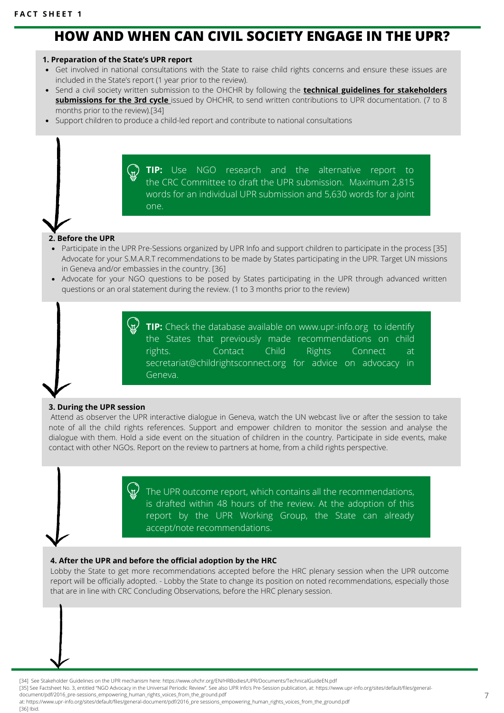## **HOW AND WHEN CAN CIVIL SOCIETY ENGAGE IN THE UPR?**

#### **1. Preparation of the State's UPR report**

- Get involved in national consultations with the State to raise child rights concerns and ensure these issues are included in the State's report (1 year prior to the review).
- Send a civil society written submission to the OHCHR by following the **technical guidelines for stakeholders submissions for the 3rd cycle** [issued by OHCHR, to send written contributions to UPR documentation. \(7 to 8](https://www.ohchr.org/Documents/HRBodies/UPR/TechnicalGuidelines3rdCycle.docx) months prior to the review).[34]
- Support children to produce a child-led report and contribute to national consultations

**TIP:** Use NGO research and the alternative report to the CRC Committee to draft the UPR submission. Maximum 2,815 words for an individual UPR submission and 5,630 words for a joint one.

## **2. Before the UPR**

- Participate in the UPR Pre-Sessions organized by UPR Info and support children to participate in the process [35] Advocate for your S.M.A.R.T recommendations to be made by States participating in the UPR. Target UN missions in Geneva and/or embassies in the country. [36]
- Advocate for your NGO questions to be posed by States participating in the UPR through advanced written questions or an oral statement during the review. (1 to 3 months prior to the review)

**TIP:** Check the database available on www.upr-info.org to identify the States that previously made recommendations on child rights. Contact Child Rights Connect at secretariat@childrightsconnect.org for advice on advocacy in Geneva.

#### **3. During the UPR session**

Attend as observer the UPR interactive dialogue in Geneva, watch the UN webcast live or after the session to take note of all the child rights references. Support and empower children to monitor the session and analyse the dialogue with them. Hold a side event on the situation of children in the country. Participate in side events, make contact with other NGOs. Report on the review to partners at home, from a child rights perspective.

> The UPR outcome report, which contains all the recommendations, is drafted within 48 hours of the review. At the adoption of this report by the UPR Working Group, the State can already accept/note recommendations.

#### **4. After the UPR and before the official adoption by the HRC**

Lobby the State to get more recommendations accepted before the HRC plenary session when the UPR outcome report will be officially adopted. - Lobby the State to change its position on noted recommendations, especially those that are in line with CRC Concluding Observations, before the HRC plenary session.

[34] See Stakeholder Guidelines on the UPR mechanism here: https://www.ohchr.org/EN/HRBodies/UPR/Documents/TechnicalGuideEN.pdf

[35] See Factsheet No. 3, entitled "NGO Advocacy in the Universal Periodic Review". See also UPR Info's Pre-Session publication, at: https://www.upr-info.org/sites/default/files/generaldocument/pdf/2016\_pre-sessions\_empowering\_human\_rights\_voices\_from\_the\_ground.pdf